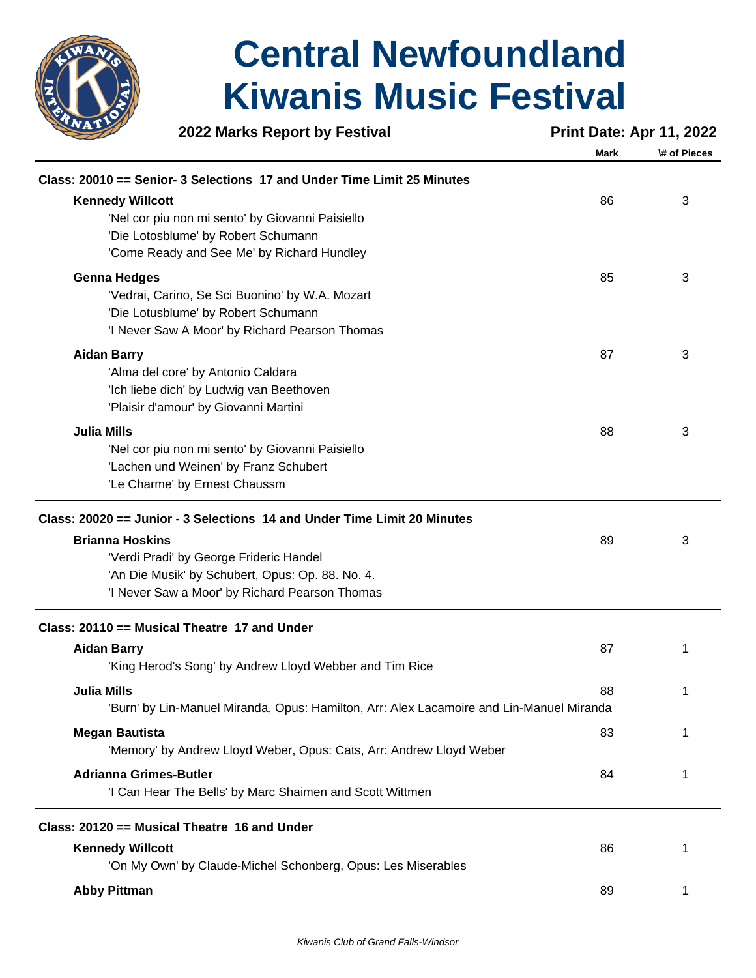

|                               | 2022 Marks Report by Festival                                                            | <b>Print Date: Apr 11, 2022</b> |              |
|-------------------------------|------------------------------------------------------------------------------------------|---------------------------------|--------------|
|                               |                                                                                          | <b>Mark</b>                     | \# of Pieces |
|                               | Class: 20010 == Senior- 3 Selections 17 and Under Time Limit 25 Minutes                  |                                 |              |
| <b>Kennedy Willcott</b>       |                                                                                          | 86                              | 3            |
|                               | 'Nel cor piu non mi sento' by Giovanni Paisiello                                         |                                 |              |
|                               | 'Die Lotosblume' by Robert Schumann                                                      |                                 |              |
|                               | 'Come Ready and See Me' by Richard Hundley                                               |                                 |              |
| <b>Genna Hedges</b>           |                                                                                          | 85                              | 3            |
|                               | 'Vedrai, Carino, Se Sci Buonino' by W.A. Mozart                                          |                                 |              |
|                               | 'Die Lotusblume' by Robert Schumann                                                      |                                 |              |
|                               | 'I Never Saw A Moor' by Richard Pearson Thomas                                           |                                 |              |
| <b>Aidan Barry</b>            |                                                                                          | 87                              | 3            |
|                               | 'Alma del core' by Antonio Caldara                                                       |                                 |              |
|                               | 'Ich liebe dich' by Ludwig van Beethoven                                                 |                                 |              |
|                               | 'Plaisir d'amour' by Giovanni Martini                                                    |                                 |              |
| <b>Julia Mills</b>            |                                                                                          | 88                              | 3            |
|                               | 'Nel cor piu non mi sento' by Giovanni Paisiello                                         |                                 |              |
|                               | 'Lachen und Weinen' by Franz Schubert                                                    |                                 |              |
|                               | 'Le Charme' by Ernest Chaussm                                                            |                                 |              |
|                               | Class: 20020 == Junior - 3 Selections 14 and Under Time Limit 20 Minutes                 |                                 |              |
| <b>Brianna Hoskins</b>        |                                                                                          | 89                              | 3            |
|                               | 'Verdi Pradi' by George Frideric Handel                                                  |                                 |              |
|                               | 'An Die Musik' by Schubert, Opus: Op. 88. No. 4.                                         |                                 |              |
|                               | 'I Never Saw a Moor' by Richard Pearson Thomas                                           |                                 |              |
|                               | Class: 20110 == Musical Theatre 17 and Under                                             |                                 |              |
| <b>Aidan Barry</b>            |                                                                                          | 87                              | 1            |
|                               | 'King Herod's Song' by Andrew Lloyd Webber and Tim Rice                                  |                                 |              |
| <b>Julia Mills</b>            |                                                                                          | 88                              | 1            |
|                               | 'Burn' by Lin-Manuel Miranda, Opus: Hamilton, Arr: Alex Lacamoire and Lin-Manuel Miranda |                                 |              |
| <b>Megan Bautista</b>         |                                                                                          | 83                              | 1            |
|                               | 'Memory' by Andrew Lloyd Weber, Opus: Cats, Arr: Andrew Lloyd Weber                      |                                 |              |
| <b>Adrianna Grimes-Butler</b> |                                                                                          | 84                              | 1            |
|                               | 'I Can Hear The Bells' by Marc Shaimen and Scott Wittmen                                 |                                 |              |
|                               |                                                                                          |                                 |              |
|                               | Class: 20120 == Musical Theatre 16 and Under                                             |                                 |              |
| <b>Kennedy Willcott</b>       |                                                                                          | 86                              |              |
|                               | 'On My Own' by Claude-Michel Schonberg, Opus: Les Miserables                             |                                 |              |
| <b>Abby Pittman</b>           |                                                                                          | 89                              | 1            |
|                               |                                                                                          |                                 |              |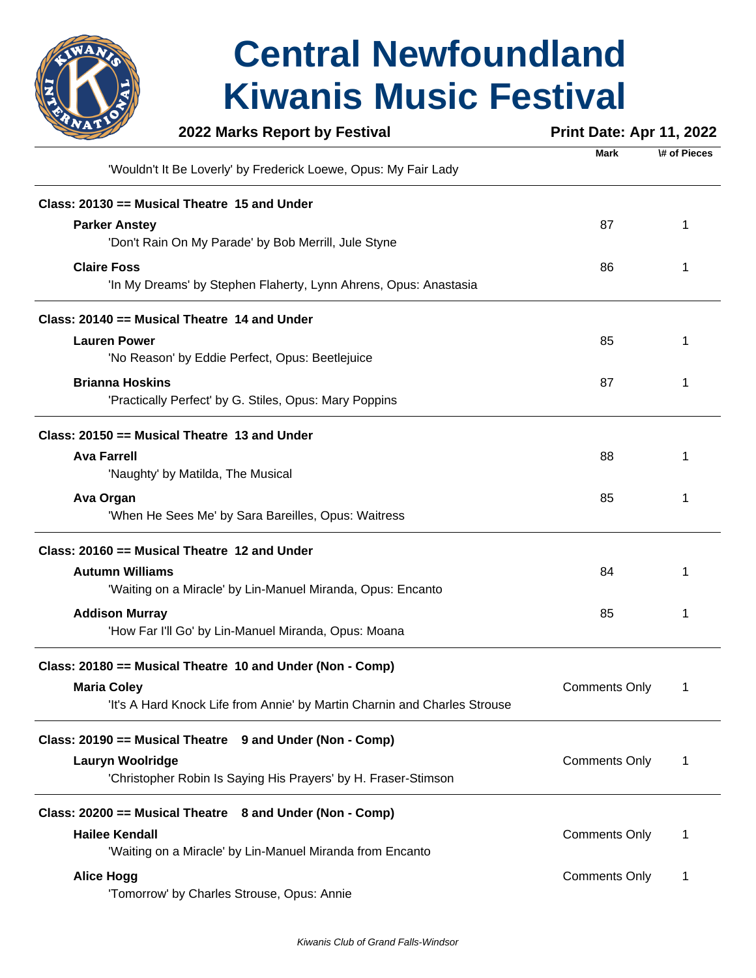

|                        | 2022 Marks Report by Festival                                             | <b>Print Date: Apr 11, 2022</b> |              |
|------------------------|---------------------------------------------------------------------------|---------------------------------|--------------|
|                        | 'Wouldn't It Be Loverly' by Frederick Loewe, Opus: My Fair Lady           | <b>Mark</b>                     | \# of Pieces |
|                        | Class: 20130 == Musical Theatre 15 and Under                              |                                 |              |
| <b>Parker Anstey</b>   | 'Don't Rain On My Parade' by Bob Merrill, Jule Styne                      | 87                              |              |
| <b>Claire Foss</b>     | 'In My Dreams' by Stephen Flaherty, Lynn Ahrens, Opus: Anastasia          | 86                              |              |
|                        | Class: 20140 == Musical Theatre 14 and Under                              |                                 |              |
| <b>Lauren Power</b>    | 'No Reason' by Eddie Perfect, Opus: Beetlejuice                           | 85                              |              |
| <b>Brianna Hoskins</b> | 'Practically Perfect' by G. Stiles, Opus: Mary Poppins                    | 87                              |              |
|                        | Class: 20150 == Musical Theatre 13 and Under                              |                                 |              |
| <b>Ava Farrell</b>     | 'Naughty' by Matilda, The Musical                                         | 88                              |              |
| Ava Organ              | 'When He Sees Me' by Sara Bareilles, Opus: Waitress                       | 85                              |              |
|                        | Class: 20160 == Musical Theatre 12 and Under                              |                                 |              |
| <b>Autumn Williams</b> | 'Waiting on a Miracle' by Lin-Manuel Miranda, Opus: Encanto               | 84                              |              |
| <b>Addison Murray</b>  | 'How Far I'll Go' by Lin-Manuel Miranda, Opus: Moana                      | 85                              | 1            |
|                        | Class: 20180 == Musical Theatre 10 and Under (Non - Comp)                 |                                 |              |
| <b>Maria Coley</b>     | 'It's A Hard Knock Life from Annie' by Martin Charnin and Charles Strouse | <b>Comments Only</b>            | 1            |
|                        | Class: 20190 == Musical Theatre 9 and Under (Non - Comp)                  |                                 |              |
| Lauryn Woolridge       | 'Christopher Robin Is Saying His Prayers' by H. Fraser-Stimson            | <b>Comments Only</b>            | 1            |
|                        | Class: 20200 == Musical Theatre 8 and Under (Non - Comp)                  |                                 |              |
| <b>Hailee Kendall</b>  | 'Waiting on a Miracle' by Lin-Manuel Miranda from Encanto                 | <b>Comments Only</b>            | 1            |
| <b>Alice Hogg</b>      | 'Tomorrow' by Charles Strouse, Opus: Annie                                | <b>Comments Only</b>            | 1            |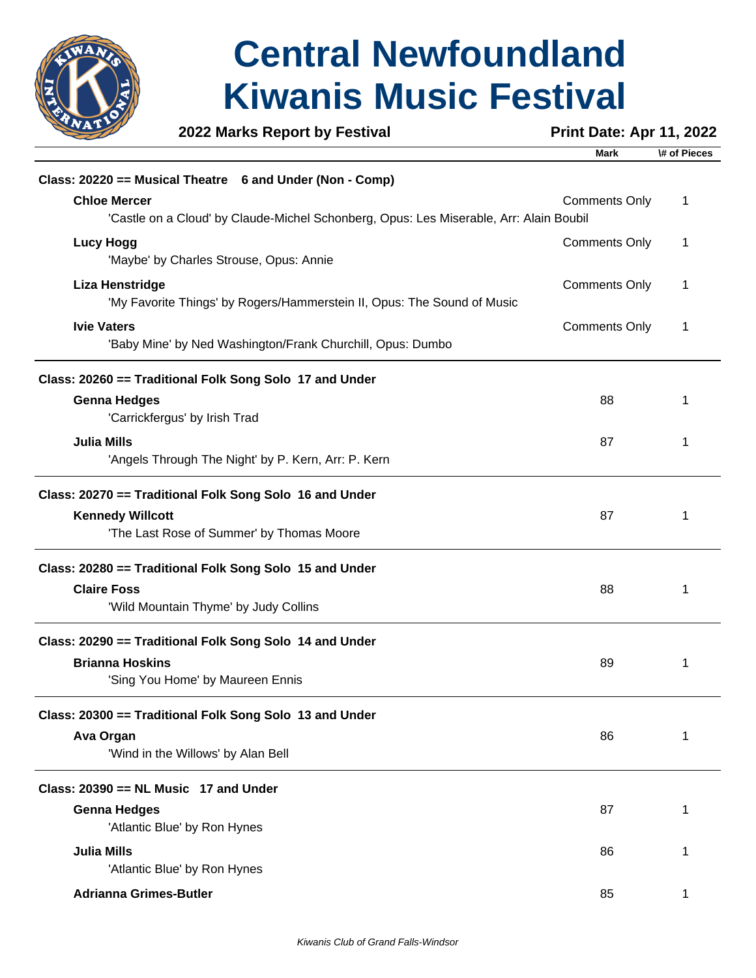

**2022 Marks Report by Festival <b>Print Date: Apr 11, 2022** 

**Mark \# of Pieces**

| Class: 20220 == Musical Theatre 6 and Under (Non - Comp)                                                                        |                      |   |
|---------------------------------------------------------------------------------------------------------------------------------|----------------------|---|
| <b>Chloe Mercer</b><br>'Castle on a Cloud' by Claude-Michel Schonberg, Opus: Les Miserable, Arr: Alain Boubil                   | <b>Comments Only</b> | 1 |
| <b>Lucy Hogg</b><br>'Maybe' by Charles Strouse, Opus: Annie                                                                     | <b>Comments Only</b> | 1 |
| <b>Liza Henstridge</b><br>'My Favorite Things' by Rogers/Hammerstein II, Opus: The Sound of Music                               | <b>Comments Only</b> | 1 |
| <b>Ivie Vaters</b><br>'Baby Mine' by Ned Washington/Frank Churchill, Opus: Dumbo                                                | <b>Comments Only</b> | 1 |
| Class: 20260 == Traditional Folk Song Solo 17 and Under                                                                         |                      |   |
| <b>Genna Hedges</b><br>'Carrickfergus' by Irish Trad                                                                            | 88                   | 1 |
| <b>Julia Mills</b><br>'Angels Through The Night' by P. Kern, Arr: P. Kern                                                       | 87                   | 1 |
| Class: 20270 == Traditional Folk Song Solo 16 and Under<br><b>Kennedy Willcott</b><br>'The Last Rose of Summer' by Thomas Moore | 87                   | 1 |
| Class: 20280 == Traditional Folk Song Solo 15 and Under                                                                         |                      |   |
| <b>Claire Foss</b><br>'Wild Mountain Thyme' by Judy Collins                                                                     | 88                   | 1 |
| Class: 20290 == Traditional Folk Song Solo 14 and Under<br><b>Brianna Hoskins</b><br>'Sing You Home' by Maureen Ennis           | 89                   | 1 |
| Class: 20300 == Traditional Folk Song Solo 13 and Under<br>Ava Organ<br>'Wind in the Willows' by Alan Bell                      | 86                   | 1 |
| Class: 20390 == NL Music 17 and Under                                                                                           |                      |   |
| <b>Genna Hedges</b><br>'Atlantic Blue' by Ron Hynes                                                                             | 87                   | 1 |
| <b>Julia Mills</b><br>'Atlantic Blue' by Ron Hynes                                                                              | 86                   | 1 |
| <b>Adrianna Grimes-Butler</b>                                                                                                   | 85                   | 1 |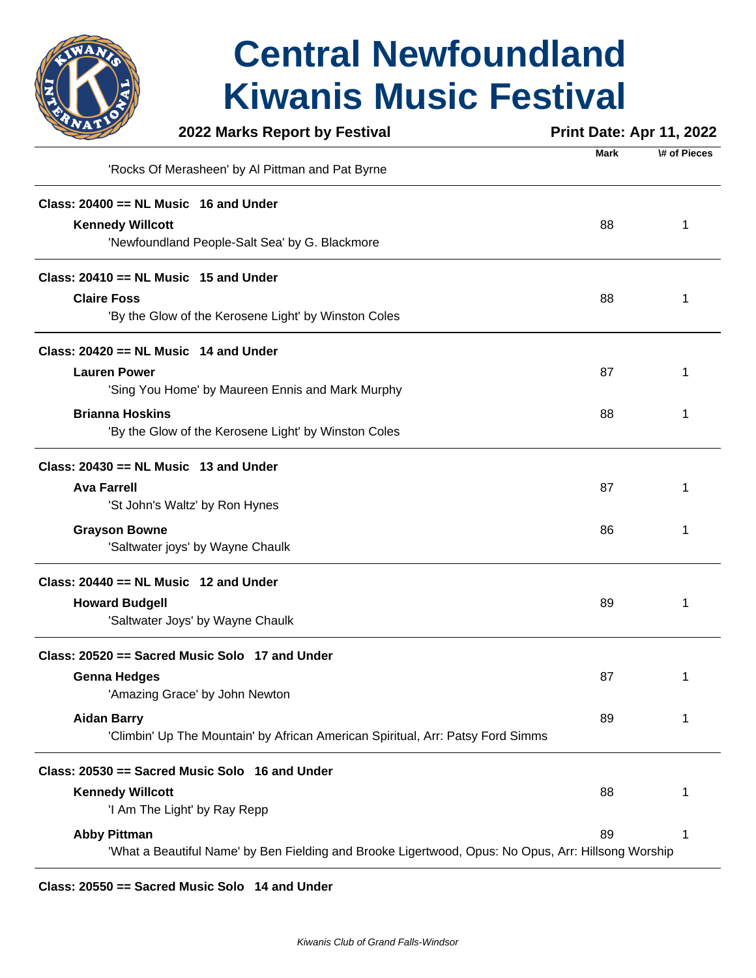

|                         | 2022 Marks Report by Festival                                                                       | <b>Print Date: Apr 11, 2022</b> |              |
|-------------------------|-----------------------------------------------------------------------------------------------------|---------------------------------|--------------|
|                         | 'Rocks Of Merasheen' by Al Pittman and Pat Byrne                                                    | <b>Mark</b>                     | \# of Pieces |
|                         | Class: $20400 == NL$ Music 16 and Under                                                             |                                 |              |
| <b>Kennedy Willcott</b> |                                                                                                     | 88                              | 1            |
|                         | 'Newfoundland People-Salt Sea' by G. Blackmore                                                      |                                 |              |
|                         | Class: $20410 == NL$ Music 15 and Under                                                             |                                 |              |
| <b>Claire Foss</b>      |                                                                                                     | 88                              | 1            |
|                         | 'By the Glow of the Kerosene Light' by Winston Coles                                                |                                 |              |
|                         | Class: $20420 == NL$ Music 14 and Under                                                             |                                 |              |
| <b>Lauren Power</b>     |                                                                                                     | 87                              | 1            |
|                         | 'Sing You Home' by Maureen Ennis and Mark Murphy                                                    |                                 |              |
| <b>Brianna Hoskins</b>  |                                                                                                     | 88                              |              |
|                         | 'By the Glow of the Kerosene Light' by Winston Coles                                                |                                 |              |
|                         | Class: $20430 == NL$ Music 13 and Under                                                             |                                 |              |
| <b>Ava Farrell</b>      |                                                                                                     | 87                              |              |
|                         | 'St John's Waltz' by Ron Hynes                                                                      |                                 |              |
| <b>Grayson Bowne</b>    |                                                                                                     | 86                              | 1            |
|                         | 'Saltwater joys' by Wayne Chaulk                                                                    |                                 |              |
|                         | Class: $20440 == NL$ Music 12 and Under                                                             |                                 |              |
| <b>Howard Budgell</b>   |                                                                                                     | 89                              |              |
|                         | 'Saltwater Joys' by Wayne Chaulk                                                                    |                                 |              |
|                         | Class: 20520 == Sacred Music Solo 17 and Under                                                      |                                 |              |
| <b>Genna Hedges</b>     |                                                                                                     | 87                              |              |
|                         | 'Amazing Grace' by John Newton                                                                      |                                 |              |
| <b>Aidan Barry</b>      |                                                                                                     | 89                              | 1            |
|                         | 'Climbin' Up The Mountain' by African American Spiritual, Arr: Patsy Ford Simms                     |                                 |              |
|                         | Class: 20530 == Sacred Music Solo 16 and Under                                                      |                                 |              |
| <b>Kennedy Willcott</b> |                                                                                                     | 88                              |              |
|                         | 'I Am The Light' by Ray Repp                                                                        |                                 |              |
| <b>Abby Pittman</b>     |                                                                                                     | 89                              |              |
|                         | 'What a Beautiful Name' by Ben Fielding and Brooke Ligertwood, Opus: No Opus, Arr: Hillsong Worship |                                 |              |

**Class: 20550 == Sacred Music Solo 14 and Under**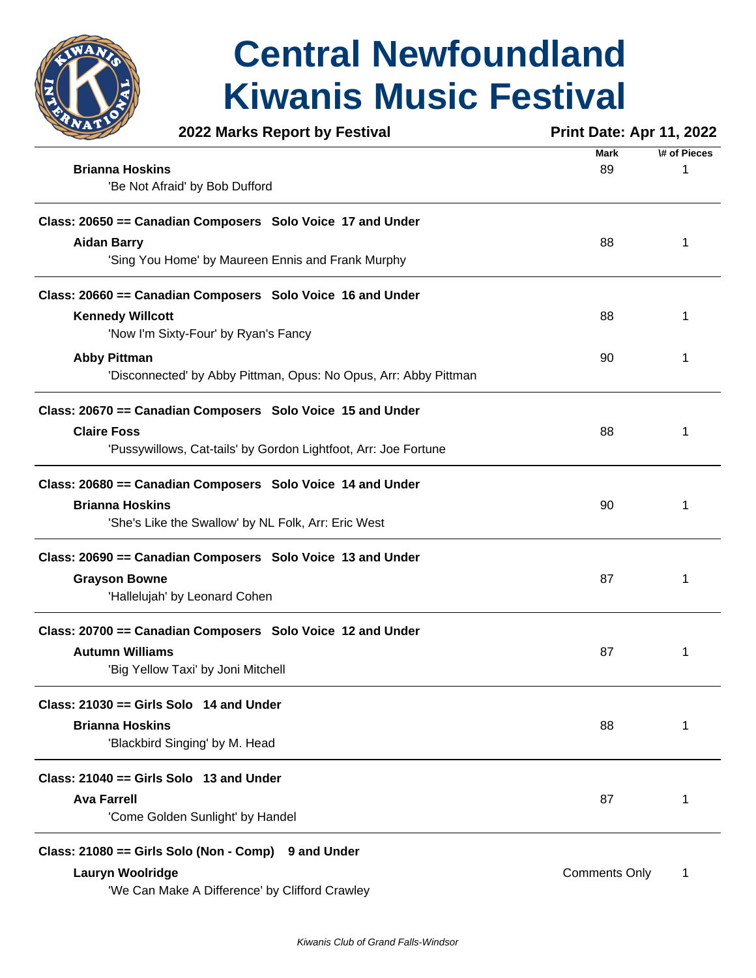

| 2022 Marks Report by Festival                                    | <b>Print Date: Apr 11, 2022</b> |              |  |
|------------------------------------------------------------------|---------------------------------|--------------|--|
|                                                                  | <b>Mark</b>                     | \# of Pieces |  |
| <b>Brianna Hoskins</b>                                           | 89                              | 1            |  |
| 'Be Not Afraid' by Bob Dufford                                   |                                 |              |  |
| Class: 20650 == Canadian Composers Solo Voice 17 and Under       |                                 |              |  |
| <b>Aidan Barry</b>                                               | 88                              | 1            |  |
| 'Sing You Home' by Maureen Ennis and Frank Murphy                |                                 |              |  |
| Class: 20660 == Canadian Composers Solo Voice 16 and Under       |                                 |              |  |
| <b>Kennedy Willcott</b>                                          | 88                              | 1            |  |
| 'Now I'm Sixty-Four' by Ryan's Fancy                             |                                 |              |  |
| <b>Abby Pittman</b>                                              | 90                              | 1            |  |
| 'Disconnected' by Abby Pittman, Opus: No Opus, Arr: Abby Pittman |                                 |              |  |
| Class: 20670 == Canadian Composers Solo Voice 15 and Under       |                                 |              |  |
| <b>Claire Foss</b>                                               | 88                              | 1            |  |
| 'Pussywillows, Cat-tails' by Gordon Lightfoot, Arr: Joe Fortune  |                                 |              |  |
| Class: 20680 == Canadian Composers Solo Voice 14 and Under       |                                 |              |  |
| <b>Brianna Hoskins</b>                                           | 90                              | 1            |  |
| 'She's Like the Swallow' by NL Folk, Arr: Eric West              |                                 |              |  |
| Class: 20690 == Canadian Composers Solo Voice 13 and Under       |                                 |              |  |
| <b>Grayson Bowne</b>                                             | 87                              | 1            |  |
| 'Hallelujah' by Leonard Cohen                                    |                                 |              |  |
| Class: 20700 == Canadian Composers Solo Voice 12 and Under       |                                 |              |  |
| <b>Autumn Williams</b>                                           | 87                              | 1            |  |
| 'Big Yellow Taxi' by Joni Mitchell                               |                                 |              |  |
| Class: $21030 ==$ Girls Solo 14 and Under                        |                                 |              |  |
| <b>Brianna Hoskins</b>                                           | 88                              | 1            |  |
| 'Blackbird Singing' by M. Head                                   |                                 |              |  |
| Class: $21040 ==$ Girls Solo 13 and Under                        |                                 |              |  |
| <b>Ava Farrell</b>                                               | 87                              | 1            |  |
| 'Come Golden Sunlight' by Handel                                 |                                 |              |  |
| Class: 21080 == Girls Solo (Non - Comp) 9 and Under              |                                 |              |  |
| <b>Lauryn Woolridge</b>                                          | <b>Comments Only</b>            | 1            |  |
| 'We Can Make A Difference' by Clifford Crawley                   |                                 |              |  |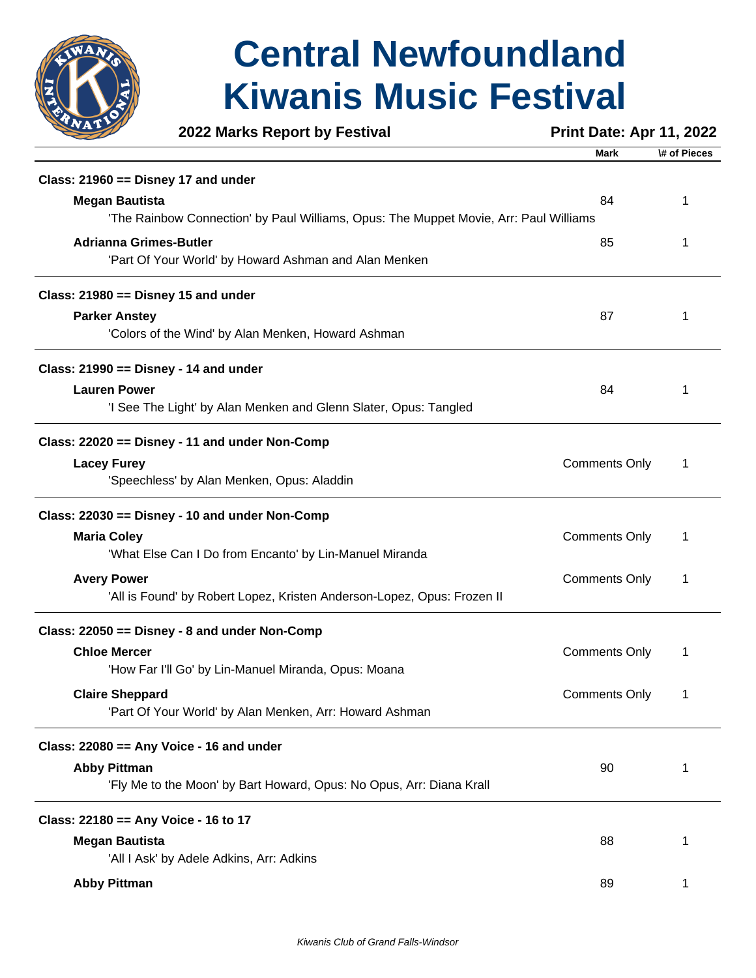

**2022 Marks Report by Festival <b>Print Date: Apr 11, 2022** 

|                                                                                       | Mark                 | \# of Pieces |
|---------------------------------------------------------------------------------------|----------------------|--------------|
| Class: $21960 ==$ Disney 17 and under                                                 |                      |              |
| <b>Megan Bautista</b>                                                                 | 84                   | 1            |
| 'The Rainbow Connection' by Paul Williams, Opus: The Muppet Movie, Arr: Paul Williams |                      |              |
| <b>Adrianna Grimes-Butler</b>                                                         | 85                   | 1            |
| 'Part Of Your World' by Howard Ashman and Alan Menken                                 |                      |              |
| Class: $21980 ==$ Disney 15 and under                                                 |                      |              |
| <b>Parker Anstey</b>                                                                  | 87                   | 1            |
| 'Colors of the Wind' by Alan Menken, Howard Ashman                                    |                      |              |
| Class: $21990 ==$ Disney - 14 and under                                               |                      |              |
| <b>Lauren Power</b>                                                                   | 84                   | 1            |
| 'I See The Light' by Alan Menken and Glenn Slater, Opus: Tangled                      |                      |              |
| Class: 22020 == Disney - 11 and under Non-Comp                                        |                      |              |
| <b>Lacey Furey</b>                                                                    | <b>Comments Only</b> | 1            |
| 'Speechless' by Alan Menken, Opus: Aladdin                                            |                      |              |
| Class: 22030 == Disney - 10 and under Non-Comp                                        |                      |              |
| <b>Maria Coley</b>                                                                    | <b>Comments Only</b> | 1            |
| 'What Else Can I Do from Encanto' by Lin-Manuel Miranda                               |                      |              |
| <b>Avery Power</b>                                                                    | <b>Comments Only</b> | 1            |
| 'All is Found' by Robert Lopez, Kristen Anderson-Lopez, Opus: Frozen II               |                      |              |
| Class: 22050 == Disney - 8 and under Non-Comp                                         |                      |              |
| <b>Chloe Mercer</b>                                                                   | <b>Comments Only</b> | 1            |
| 'How Far I'll Go' by Lin-Manuel Miranda, Opus: Moana                                  |                      |              |
| <b>Claire Sheppard</b>                                                                | <b>Comments Only</b> | 1            |
| 'Part Of Your World' by Alan Menken, Arr: Howard Ashman                               |                      |              |
| Class: 22080 == Any Voice - 16 and under                                              |                      |              |
| <b>Abby Pittman</b>                                                                   | 90                   | 1            |
| 'Fly Me to the Moon' by Bart Howard, Opus: No Opus, Arr: Diana Krall                  |                      |              |
| Class: 22180 == Any Voice - 16 to 17                                                  |                      |              |
| <b>Megan Bautista</b>                                                                 | 88                   | 1            |
| 'All I Ask' by Adele Adkins, Arr: Adkins                                              |                      |              |
| <b>Abby Pittman</b>                                                                   | 89                   | 1            |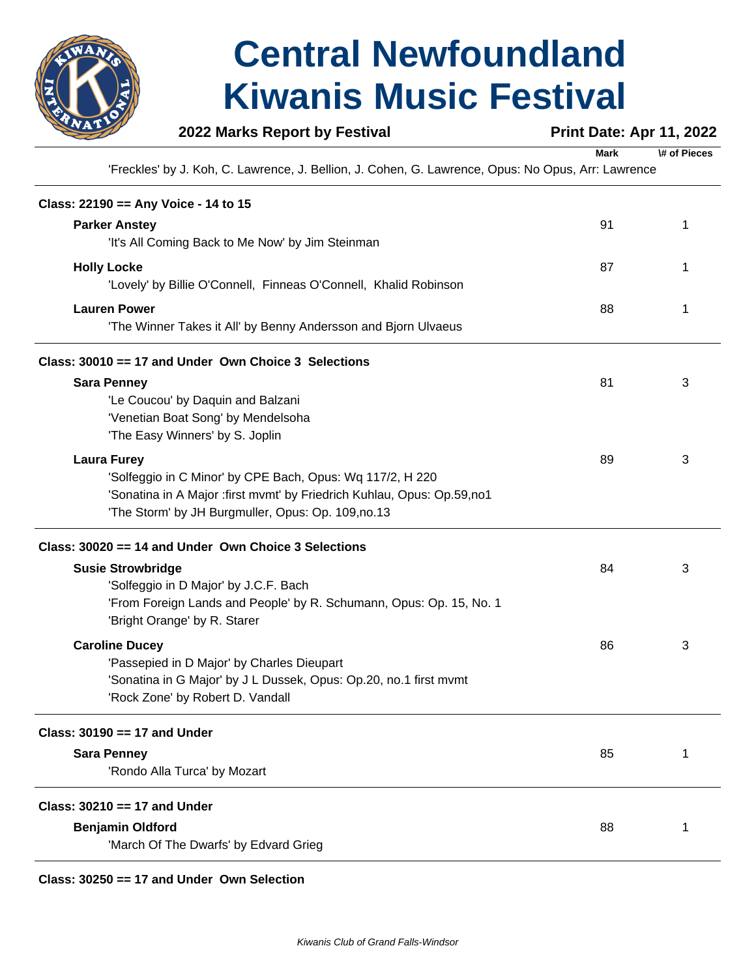

### **2022 Marks Report by Festival <b>Print Date: Apr 11, 2022**

**Mark \# of Pieces**

'Freckles' by J. Koh, C. Lawrence, J. Bellion, J. Cohen, G. Lawrence, Opus: No Opus, Arr: Lawrence

| Class: 22190 == Any Voice - 14 to 15                                    |    |   |
|-------------------------------------------------------------------------|----|---|
| <b>Parker Anstey</b>                                                    | 91 | 1 |
| 'It's All Coming Back to Me Now' by Jim Steinman                        |    |   |
| <b>Holly Locke</b>                                                      | 87 | 1 |
| 'Lovely' by Billie O'Connell, Finneas O'Connell, Khalid Robinson        |    |   |
| <b>Lauren Power</b>                                                     | 88 | 1 |
| 'The Winner Takes it All' by Benny Andersson and Bjorn Ulvaeus          |    |   |
| Class: 30010 == 17 and Under Own Choice 3 Selections                    |    |   |
| <b>Sara Penney</b>                                                      | 81 | 3 |
| 'Le Coucou' by Daquin and Balzani                                       |    |   |
| 'Venetian Boat Song' by Mendelsoha                                      |    |   |
| 'The Easy Winners' by S. Joplin                                         |    |   |
| <b>Laura Furey</b>                                                      | 89 | 3 |
| 'Solfeggio in C Minor' by CPE Bach, Opus: Wq 117/2, H 220               |    |   |
| 'Sonatina in A Major : first mvmt' by Friedrich Kuhlau, Opus: Op.59,no1 |    |   |
| 'The Storm' by JH Burgmuller, Opus: Op. 109,no.13                       |    |   |
| Class: 30020 == 14 and Under Own Choice 3 Selections                    |    |   |
| <b>Susie Strowbridge</b>                                                | 84 | 3 |
| 'Solfeggio in D Major' by J.C.F. Bach                                   |    |   |
| 'From Foreign Lands and People' by R. Schumann, Opus: Op. 15, No. 1     |    |   |
| 'Bright Orange' by R. Starer                                            |    |   |
| <b>Caroline Ducey</b>                                                   | 86 | 3 |
| 'Passepied in D Major' by Charles Dieupart                              |    |   |
| 'Sonatina in G Major' by J L Dussek, Opus: Op.20, no.1 first mvmt       |    |   |
| 'Rock Zone' by Robert D. Vandall                                        |    |   |
| Class: $30190 == 17$ and Under                                          |    |   |
| <b>Sara Penney</b>                                                      | 85 | 1 |
| 'Rondo Alla Turca' by Mozart                                            |    |   |
| Class: 30210 == 17 and Under                                            |    |   |
| <b>Benjamin Oldford</b>                                                 | 88 | 1 |
| 'March Of The Dwarfs' by Edvard Grieg                                   |    |   |
|                                                                         |    |   |

#### **Class: 30250 == 17 and Under Own Selection**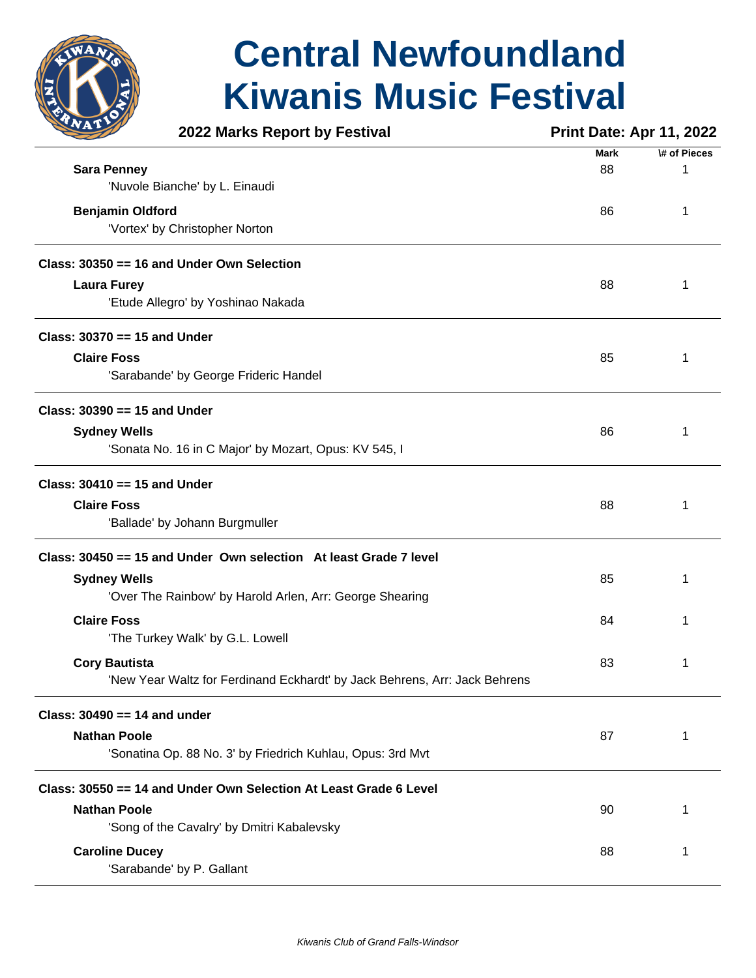

|                                | 2022 Marks Report by Festival                                              | <b>Print Date: Apr 11, 2022</b> |              |
|--------------------------------|----------------------------------------------------------------------------|---------------------------------|--------------|
|                                |                                                                            | <b>Mark</b>                     | \# of Pieces |
| <b>Sara Penney</b>             |                                                                            | 88                              | 1            |
|                                | 'Nuvole Bianche' by L. Einaudi                                             |                                 |              |
| <b>Benjamin Oldford</b>        |                                                                            | 86                              | 1            |
|                                | 'Vortex' by Christopher Norton                                             |                                 |              |
|                                | Class: 30350 == 16 and Under Own Selection                                 |                                 |              |
| <b>Laura Furey</b>             |                                                                            | 88                              | 1            |
|                                | 'Etude Allegro' by Yoshinao Nakada                                         |                                 |              |
| Class: $30370 == 15$ and Under |                                                                            |                                 |              |
| <b>Claire Foss</b>             |                                                                            | 85                              | 1            |
|                                | 'Sarabande' by George Frideric Handel                                      |                                 |              |
| Class: $30390 == 15$ and Under |                                                                            |                                 |              |
| <b>Sydney Wells</b>            |                                                                            | 86                              | 1            |
|                                | 'Sonata No. 16 in C Major' by Mozart, Opus: KV 545, I                      |                                 |              |
| Class: $30410 == 15$ and Under |                                                                            |                                 |              |
| <b>Claire Foss</b>             |                                                                            | 88                              | 1            |
|                                | 'Ballade' by Johann Burgmuller                                             |                                 |              |
|                                | Class: 30450 == 15 and Under Own selection At least Grade 7 level          |                                 |              |
| <b>Sydney Wells</b>            |                                                                            | 85                              | 1            |
|                                | 'Over The Rainbow' by Harold Arlen, Arr: George Shearing                   |                                 |              |
| <b>Claire Foss</b>             |                                                                            | 84                              | 1            |
|                                | 'The Turkey Walk' by G.L. Lowell                                           |                                 |              |
| <b>Cory Bautista</b>           |                                                                            | 83                              | 1            |
|                                | 'New Year Waltz for Ferdinand Eckhardt' by Jack Behrens, Arr: Jack Behrens |                                 |              |
| Class: $30490 == 14$ and under |                                                                            |                                 |              |
| <b>Nathan Poole</b>            |                                                                            | 87                              | 1            |
|                                | 'Sonatina Op. 88 No. 3' by Friedrich Kuhlau, Opus: 3rd Mvt                 |                                 |              |
|                                | Class: 30550 == 14 and Under Own Selection At Least Grade 6 Level          |                                 |              |
| <b>Nathan Poole</b>            |                                                                            | 90                              | 1            |
|                                | 'Song of the Cavalry' by Dmitri Kabalevsky                                 |                                 |              |
| <b>Caroline Ducey</b>          |                                                                            | 88                              | 1            |
|                                | 'Sarabande' by P. Gallant                                                  |                                 |              |
|                                |                                                                            |                                 |              |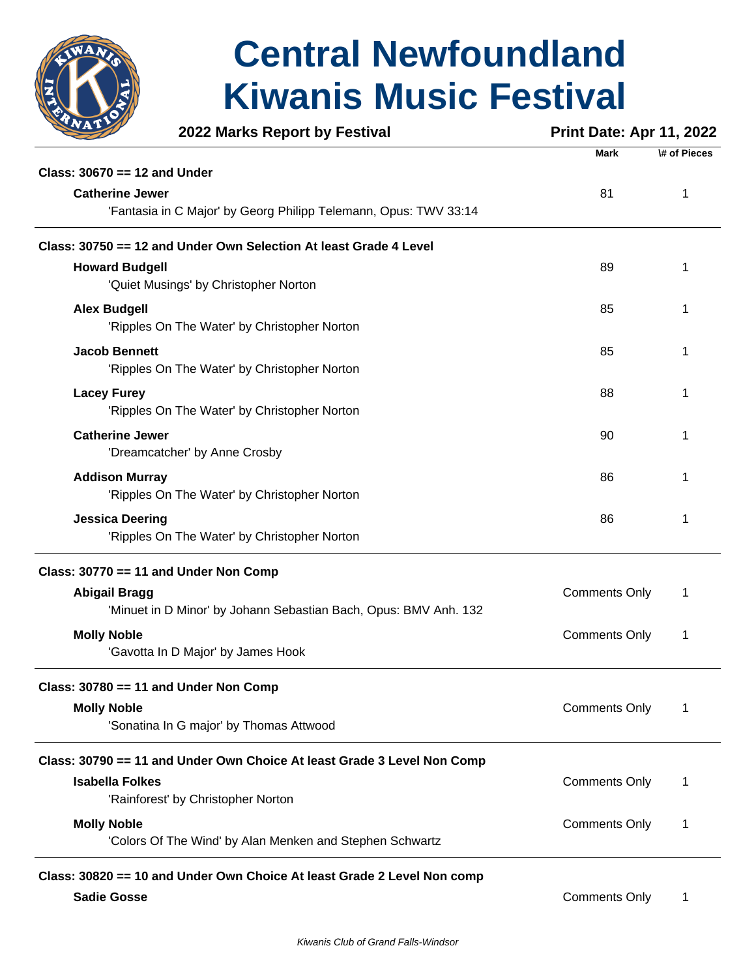

|                              | 2022 Marks Report by Festival                                           | <b>Print Date: Apr 11, 2022</b> |              |
|------------------------------|-------------------------------------------------------------------------|---------------------------------|--------------|
|                              |                                                                         | <b>Mark</b>                     | \# of Pieces |
| Class: 30670 == 12 and Under |                                                                         |                                 |              |
| <b>Catherine Jewer</b>       |                                                                         | 81                              | 1            |
|                              | 'Fantasia in C Major' by Georg Philipp Telemann, Opus: TWV 33:14        |                                 |              |
|                              | Class: 30750 == 12 and Under Own Selection At least Grade 4 Level       |                                 |              |
| <b>Howard Budgell</b>        |                                                                         | 89                              | 1            |
|                              | 'Quiet Musings' by Christopher Norton                                   |                                 |              |
| <b>Alex Budgell</b>          |                                                                         | 85                              |              |
|                              | 'Ripples On The Water' by Christopher Norton                            |                                 |              |
| <b>Jacob Bennett</b>         |                                                                         | 85                              |              |
|                              | 'Ripples On The Water' by Christopher Norton                            |                                 |              |
| <b>Lacey Furey</b>           |                                                                         | 88                              | 1            |
|                              | 'Ripples On The Water' by Christopher Norton                            |                                 |              |
| <b>Catherine Jewer</b>       |                                                                         | 90                              |              |
|                              | 'Dreamcatcher' by Anne Crosby                                           |                                 |              |
| <b>Addison Murray</b>        |                                                                         | 86                              |              |
|                              | 'Ripples On The Water' by Christopher Norton                            |                                 |              |
| <b>Jessica Deering</b>       |                                                                         | 86                              | 1            |
|                              | 'Ripples On The Water' by Christopher Norton                            |                                 |              |
|                              | Class: 30770 == 11 and Under Non Comp                                   |                                 |              |
| <b>Abigail Bragg</b>         |                                                                         | <b>Comments Only</b>            | 1            |
|                              | 'Minuet in D Minor' by Johann Sebastian Bach, Opus: BMV Anh. 132        |                                 |              |
| <b>Molly Noble</b>           |                                                                         | <b>Comments Only</b>            | 1            |
|                              | 'Gavotta In D Major' by James Hook                                      |                                 |              |
|                              | Class: 30780 == 11 and Under Non Comp                                   |                                 |              |
|                              |                                                                         | <b>Comments Only</b>            | 1            |
| <b>Molly Noble</b>           | 'Sonatina In G major' by Thomas Attwood                                 |                                 |              |
|                              |                                                                         |                                 |              |
|                              | Class: 30790 == 11 and Under Own Choice At least Grade 3 Level Non Comp |                                 |              |
| <b>Isabella Folkes</b>       |                                                                         | <b>Comments Only</b>            | 1            |
|                              | 'Rainforest' by Christopher Norton                                      |                                 |              |
| <b>Molly Noble</b>           |                                                                         | <b>Comments Only</b>            | 1            |
|                              | 'Colors Of The Wind' by Alan Menken and Stephen Schwartz                |                                 |              |
|                              | Class: 30820 == 10 and Under Own Choice At least Grade 2 Level Non comp |                                 |              |
| <b>Sadie Gosse</b>           |                                                                         | <b>Comments Only</b>            |              |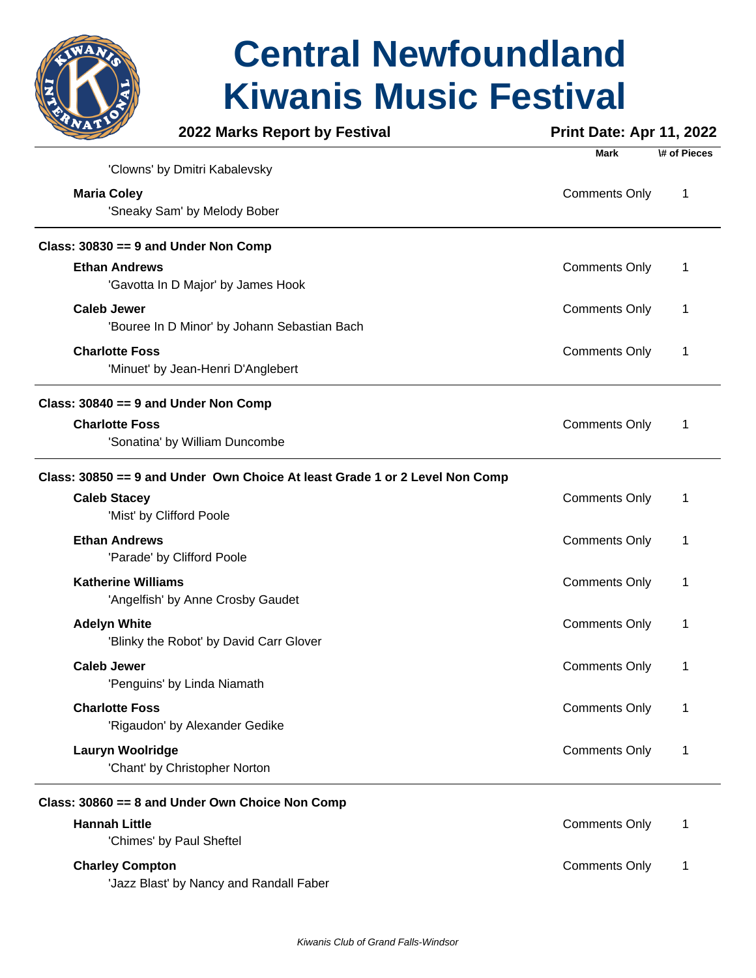

|                                      | 2022 Marks Report by Festival                                               | <b>Print Date: Apr 11, 2022</b> |              |
|--------------------------------------|-----------------------------------------------------------------------------|---------------------------------|--------------|
|                                      |                                                                             | <b>Mark</b>                     | \# of Pieces |
|                                      | 'Clowns' by Dmitri Kabalevsky                                               |                                 |              |
| <b>Maria Coley</b>                   |                                                                             | <b>Comments Only</b>            | 1            |
|                                      | 'Sneaky Sam' by Melody Bober                                                |                                 |              |
| Class: 30830 == 9 and Under Non Comp |                                                                             |                                 |              |
| <b>Ethan Andrews</b>                 |                                                                             | <b>Comments Only</b>            | 1            |
|                                      | 'Gavotta In D Major' by James Hook                                          |                                 |              |
| <b>Caleb Jewer</b>                   |                                                                             | <b>Comments Only</b>            | 1            |
|                                      | 'Bouree In D Minor' by Johann Sebastian Bach                                |                                 |              |
| <b>Charlotte Foss</b>                |                                                                             | <b>Comments Only</b>            | 1            |
|                                      | 'Minuet' by Jean-Henri D'Anglebert                                          |                                 |              |
| Class: 30840 == 9 and Under Non Comp |                                                                             |                                 |              |
| <b>Charlotte Foss</b>                |                                                                             | <b>Comments Only</b>            | 1            |
|                                      | 'Sonatina' by William Duncombe                                              |                                 |              |
|                                      | Class: 30850 == 9 and Under Own Choice At least Grade 1 or 2 Level Non Comp |                                 |              |
| <b>Caleb Stacey</b>                  |                                                                             | <b>Comments Only</b>            | 1            |
| 'Mist' by Clifford Poole             |                                                                             |                                 |              |
| <b>Ethan Andrews</b>                 |                                                                             | <b>Comments Only</b>            | 1            |
|                                      | 'Parade' by Clifford Poole                                                  |                                 |              |
| <b>Katherine Williams</b>            |                                                                             |                                 |              |
|                                      | 'Angelfish' by Anne Crosby Gaudet                                           | <b>Comments Only</b>            | 1            |
|                                      |                                                                             |                                 |              |
| <b>Adelyn White</b>                  | 'Blinky the Robot' by David Carr Glover                                     | <b>Comments Only</b>            | 1            |
|                                      |                                                                             |                                 |              |
| <b>Caleb Jewer</b>                   |                                                                             | <b>Comments Only</b>            | 1            |
|                                      | 'Penguins' by Linda Niamath                                                 |                                 |              |
| <b>Charlotte Foss</b>                |                                                                             | <b>Comments Only</b>            | 1            |
|                                      | 'Rigaudon' by Alexander Gedike                                              |                                 |              |
| <b>Lauryn Woolridge</b>              |                                                                             | <b>Comments Only</b>            | 1            |
|                                      | 'Chant' by Christopher Norton                                               |                                 |              |
|                                      | Class: 30860 == 8 and Under Own Choice Non Comp                             |                                 |              |
| <b>Hannah Little</b>                 |                                                                             | <b>Comments Only</b>            | 1            |
|                                      | 'Chimes' by Paul Sheftel                                                    |                                 |              |
| <b>Charley Compton</b>               |                                                                             | <b>Comments Only</b>            | 1            |
|                                      | 'Jazz Blast' by Nancy and Randall Faber                                     |                                 |              |
|                                      |                                                                             |                                 |              |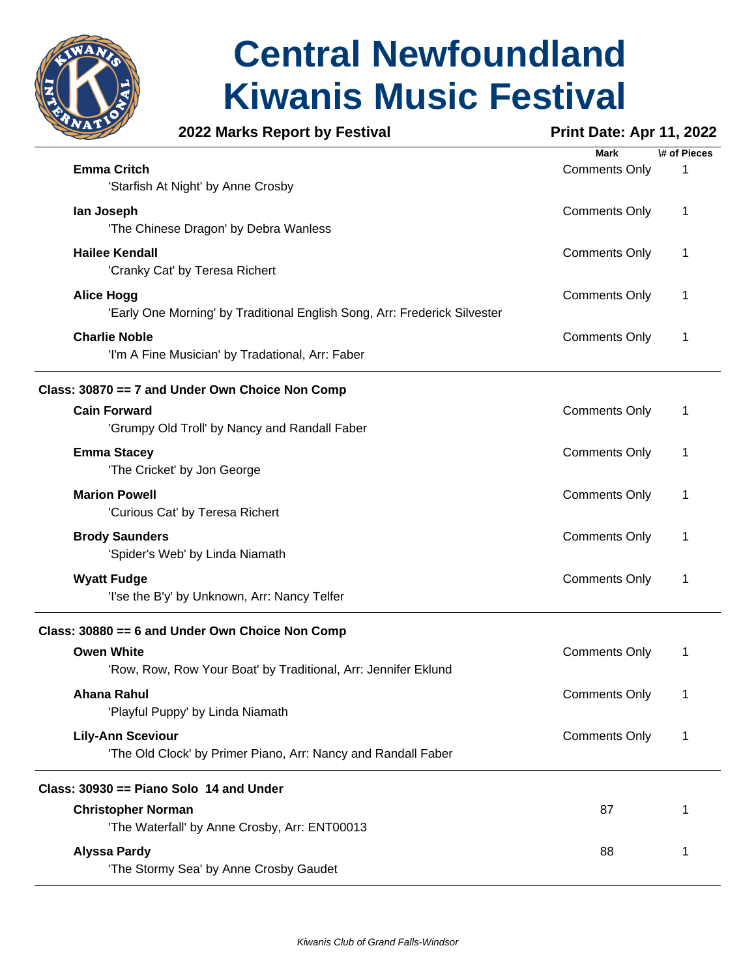

### **2022 Marks Report by Festival <b>Print Date: Apr 11, 2022**

|                                                                           | Mark                 | \# of Pieces |
|---------------------------------------------------------------------------|----------------------|--------------|
| <b>Emma Critch</b>                                                        | <b>Comments Only</b> | 1            |
| 'Starfish At Night' by Anne Crosby                                        |                      |              |
| lan Joseph                                                                | <b>Comments Only</b> | 1            |
| 'The Chinese Dragon' by Debra Wanless                                     |                      |              |
| <b>Hailee Kendall</b>                                                     | <b>Comments Only</b> | 1            |
| 'Cranky Cat' by Teresa Richert                                            |                      |              |
|                                                                           |                      |              |
| <b>Alice Hogg</b>                                                         | <b>Comments Only</b> | 1            |
| 'Early One Morning' by Traditional English Song, Arr: Frederick Silvester |                      |              |
| <b>Charlie Noble</b>                                                      | <b>Comments Only</b> | 1            |
| 'I'm A Fine Musician' by Tradational, Arr: Faber                          |                      |              |
| Class: 30870 == 7 and Under Own Choice Non Comp                           |                      |              |
| <b>Cain Forward</b>                                                       | <b>Comments Only</b> | 1            |
| 'Grumpy Old Troll' by Nancy and Randall Faber                             |                      |              |
| <b>Emma Stacey</b>                                                        | <b>Comments Only</b> | 1            |
| 'The Cricket' by Jon George                                               |                      |              |
|                                                                           |                      |              |
| <b>Marion Powell</b>                                                      | <b>Comments Only</b> | 1            |
| 'Curious Cat' by Teresa Richert                                           |                      |              |
| <b>Brody Saunders</b>                                                     | <b>Comments Only</b> | 1            |
| 'Spider's Web' by Linda Niamath                                           |                      |              |
| <b>Wyatt Fudge</b>                                                        | <b>Comments Only</b> | 1            |
| 'I'se the B'y' by Unknown, Arr: Nancy Telfer                              |                      |              |
| Class: 30880 == 6 and Under Own Choice Non Comp                           |                      |              |
| <b>Owen White</b>                                                         | <b>Comments Only</b> | 1            |
| 'Row, Row, Row Your Boat' by Traditional, Arr: Jennifer Eklund            |                      |              |
| <b>Ahana Rahul</b>                                                        |                      |              |
| 'Playful Puppy' by Linda Niamath                                          | <b>Comments Only</b> | 1            |
|                                                                           |                      |              |
| <b>Lily-Ann Sceviour</b>                                                  | <b>Comments Only</b> | 1            |
| 'The Old Clock' by Primer Piano, Arr: Nancy and Randall Faber             |                      |              |
| Class: 30930 == Piano Solo 14 and Under                                   |                      |              |
| <b>Christopher Norman</b>                                                 | 87                   | 1            |
| 'The Waterfall' by Anne Crosby, Arr: ENT00013                             |                      |              |
| <b>Alyssa Pardy</b>                                                       | 88                   | 1            |
| 'The Stormy Sea' by Anne Crosby Gaudet                                    |                      |              |
|                                                                           |                      |              |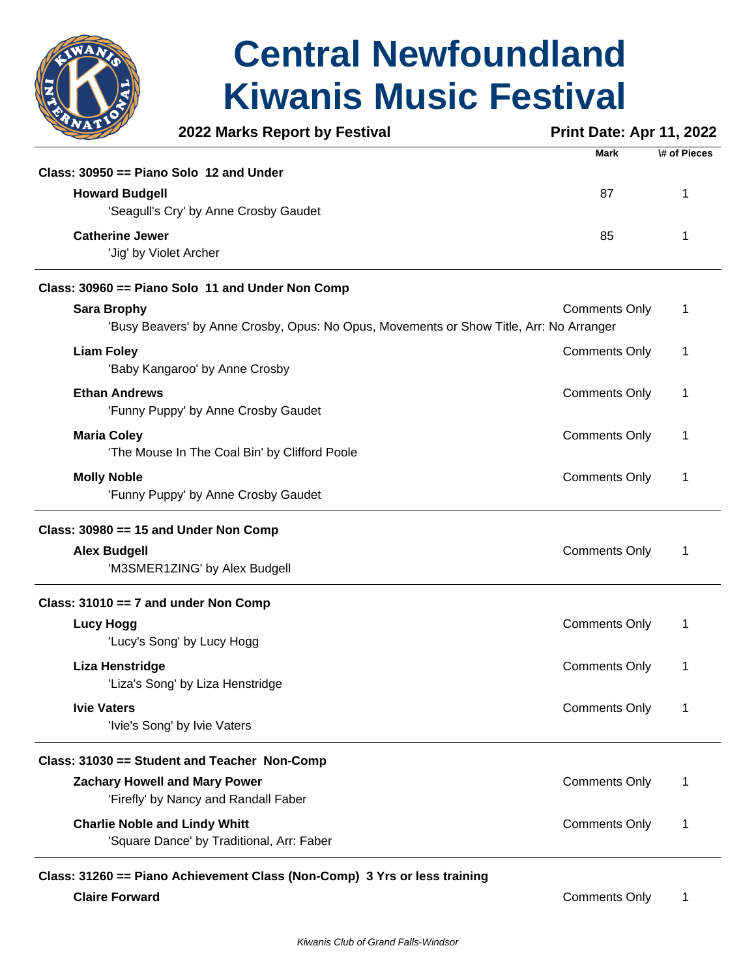

|                                        | 2022 Marks Report by Festival                                                           | <b>Print Date: Apr 11, 2022</b> |              |
|----------------------------------------|-----------------------------------------------------------------------------------------|---------------------------------|--------------|
|                                        |                                                                                         | <b>Mark</b>                     | \# of Pieces |
|                                        | Class: $30950 ==$ Piano Solo 12 and Under                                               |                                 |              |
| <b>Howard Budgell</b>                  |                                                                                         | 87                              | 1            |
|                                        | 'Seagull's Cry' by Anne Crosby Gaudet                                                   |                                 |              |
| <b>Catherine Jewer</b>                 |                                                                                         | 85                              | 1            |
|                                        | 'Jig' by Violet Archer                                                                  |                                 |              |
|                                        | Class: 30960 == Piano Solo 11 and Under Non Comp                                        |                                 |              |
| <b>Sara Brophy</b>                     |                                                                                         | <b>Comments Only</b>            | 1            |
|                                        | 'Busy Beavers' by Anne Crosby, Opus: No Opus, Movements or Show Title, Arr: No Arranger |                                 |              |
| <b>Liam Foley</b>                      |                                                                                         | <b>Comments Only</b>            | 1            |
|                                        | 'Baby Kangaroo' by Anne Crosby                                                          |                                 |              |
| <b>Ethan Andrews</b>                   |                                                                                         | <b>Comments Only</b>            | 1            |
|                                        | 'Funny Puppy' by Anne Crosby Gaudet                                                     |                                 |              |
| <b>Maria Coley</b>                     |                                                                                         | <b>Comments Only</b>            | 1            |
|                                        | 'The Mouse In The Coal Bin' by Clifford Poole                                           |                                 |              |
| <b>Molly Noble</b>                     |                                                                                         | <b>Comments Only</b>            | 1            |
|                                        | 'Funny Puppy' by Anne Crosby Gaudet                                                     |                                 |              |
|                                        | Class: $30980 == 15$ and Under Non Comp                                                 |                                 |              |
| <b>Alex Budgell</b>                    |                                                                                         | <b>Comments Only</b>            | 1            |
|                                        | 'M3SMER1ZING' by Alex Budgell                                                           |                                 |              |
| Class: $31010 == 7$ and under Non Comp |                                                                                         |                                 |              |
| <b>Lucy Hogg</b>                       |                                                                                         | <b>Comments Only</b>            | 1            |
|                                        | 'Lucy's Song' by Lucy Hogg                                                              |                                 |              |
| Liza Henstridge                        |                                                                                         | <b>Comments Only</b>            | 1            |
|                                        | 'Liza's Song' by Liza Henstridge                                                        |                                 |              |
| <b>Ivie Vaters</b>                     |                                                                                         | <b>Comments Only</b>            | 1            |
|                                        | 'Ivie's Song' by Ivie Vaters                                                            |                                 |              |
|                                        | Class: 31030 == Student and Teacher Non-Comp                                            |                                 |              |
|                                        | <b>Zachary Howell and Mary Power</b>                                                    | <b>Comments Only</b>            | 1            |
|                                        | 'Firefly' by Nancy and Randall Faber                                                    |                                 |              |
|                                        | <b>Charlie Noble and Lindy Whitt</b>                                                    | <b>Comments Only</b>            | 1            |
|                                        | 'Square Dance' by Traditional, Arr: Faber                                               |                                 |              |

#### **Class: 31260 == Piano Achievement Class (Non-Comp) 3 Yrs or less training Claire Forward** Comments Only 1